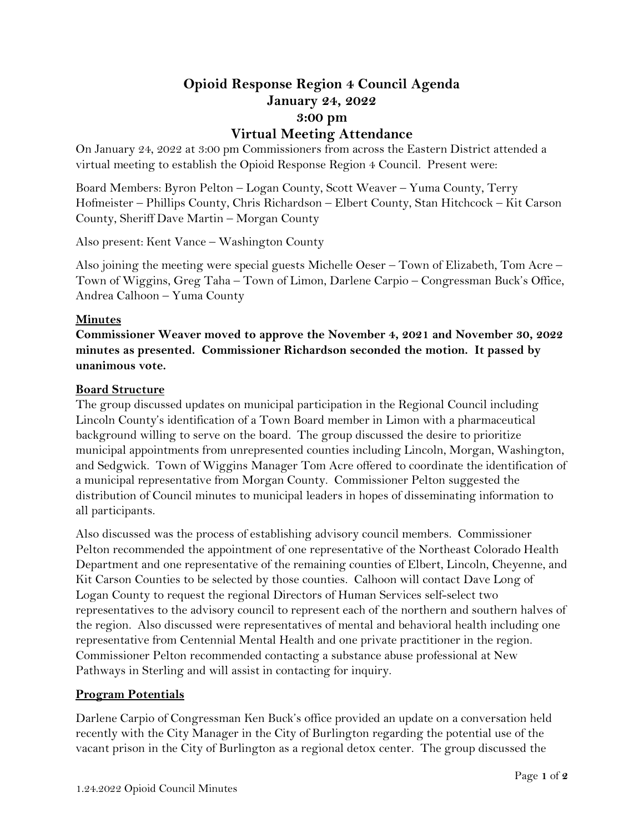# **Opioid Response Region 4 Council Agenda January 24, 2022 3:00 pm Virtual Meeting Attendance**

On January 24, 2022 at 3:00 pm Commissioners from across the Eastern District attended a virtual meeting to establish the Opioid Response Region 4 Council. Present were:

Board Members: Byron Pelton – Logan County, Scott Weaver – Yuma County, Terry Hofmeister – Phillips County, Chris Richardson – Elbert County, Stan Hitchcock – Kit Carson County, Sheriff Dave Martin – Morgan County

Also present: Kent Vance – Washington County

Also joining the meeting were special guests Michelle Oeser – Town of Elizabeth, Tom Acre – Town of Wiggins, Greg Taha – Town of Limon, Darlene Carpio – Congressman Buck's Office, Andrea Calhoon – Yuma County

#### **Minutes**

**Commissioner Weaver moved to approve the November 4, 2021 and November 30, 2022 minutes as presented. Commissioner Richardson seconded the motion. It passed by unanimous vote.** 

#### **Board Structure**

The group discussed updates on municipal participation in the Regional Council including Lincoln County's identification of a Town Board member in Limon with a pharmaceutical background willing to serve on the board. The group discussed the desire to prioritize municipal appointments from unrepresented counties including Lincoln, Morgan, Washington, and Sedgwick. Town of Wiggins Manager Tom Acre offered to coordinate the identification of a municipal representative from Morgan County. Commissioner Pelton suggested the distribution of Council minutes to municipal leaders in hopes of disseminating information to all participants.

Also discussed was the process of establishing advisory council members. Commissioner Pelton recommended the appointment of one representative of the Northeast Colorado Health Department and one representative of the remaining counties of Elbert, Lincoln, Cheyenne, and Kit Carson Counties to be selected by those counties. Calhoon will contact Dave Long of Logan County to request the regional Directors of Human Services self-select two representatives to the advisory council to represent each of the northern and southern halves of the region. Also discussed were representatives of mental and behavioral health including one representative from Centennial Mental Health and one private practitioner in the region. Commissioner Pelton recommended contacting a substance abuse professional at New Pathways in Sterling and will assist in contacting for inquiry.

# **Program Potentials**

Darlene Carpio of Congressman Ken Buck's office provided an update on a conversation held recently with the City Manager in the City of Burlington regarding the potential use of the vacant prison in the City of Burlington as a regional detox center. The group discussed the